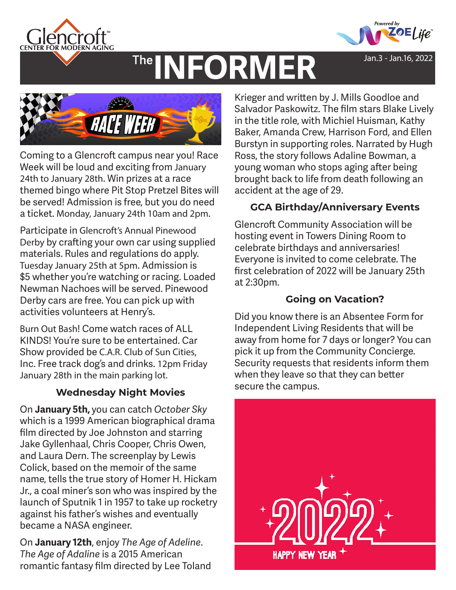



Jan.3 - Jan.16, 2022

# **INFORMER** The



Coming to a Glencroft campus near you! Race Week will be loud and exciting from January 24th to January 28th. Win prizes at a race themed bingo where Pit Stop Pretzel Bites will be served! Admission is free, but you do need a ticket. Monday, January 24th 10am and 2pm.

Participate in Glencroft's Annual Pinewood Derby by crafting your own car using supplied materials. Rules and regulations do apply. Tuesday January 25th at 5pm. Admission is \$5 whether you're watching or racing. Loaded Newman Nachoes will be served. Pinewood Derby cars are free. You can pick up with activities volunteers at Henry's.

Burn Out Bash! Come watch races of ALL KINDS! You're sure to be entertained. Car Show provided be C.A.R. Club of Sun Cities, Inc. Free track dog's and drinks. 12pm Friday January 28th in the main parking lot.

## **Wednesday Night Movies**

On **January 5th,** you can catch *October Sky*  which is a 1999 American biographical drama film directed by Joe Johnston and starring Jake Gyllenhaal, Chris Cooper, Chris Owen, and Laura Dern. The screenplay by Lewis Colick, based on the memoir of the same name, tells the true story of Homer H. Hickam Jr., a coal miner's son who was inspired by the launch of Sputnik 1 in 1957 to take up rocketry against his father's wishes and eventually became a NASA engineer.

On **January 12th**, enjoy *The Age of Adeline*. *The Age of Adaline* is a 2015 American romantic fantasy film directed by Lee Toland

Krieger and written by J. Mills Goodloe and Salvador Paskowitz. The film stars Blake Lively in the title role, with Michiel Huisman, Kathy Baker, Amanda Crew, Harrison Ford, and Ellen Burstyn in supporting roles. Narrated by Hugh Ross, the story follows Adaline Bowman, a young woman who stops aging after being brought back to life from death following an accident at the age of 29.

## **GCA Birthday/Anniversary Events**

Glencroft Community Association will be hosting event in Towers Dining Room to celebrate birthdays and anniversaries! Everyone is invited to come celebrate. The first celebration of 2022 will be January 25th at 2:30pm.

## **Going on Vacation?**

Did you know there is an Absentee Form for Independent Living Residents that will be away from home for 7 days or longer? You can pick it up from the Community Concierge. Security requests that residents inform them when they leave so that they can better secure the campus.

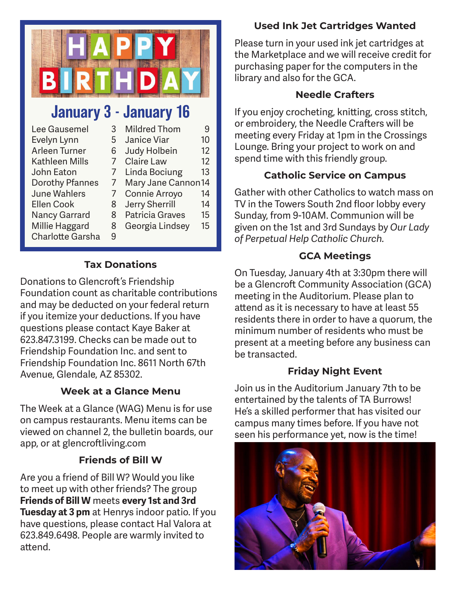

# January 3 - January 16

| Lee Gausemel          | 3 | <b>Mildred Thom</b>    | 9                 |
|-----------------------|---|------------------------|-------------------|
| Evelyn Lynn           | 5 | Janice Viar            | 10                |
| Arleen Turner         | 6 | Judy Holbein           | 12                |
| <b>Kathleen Mills</b> |   | <b>Claire Law</b>      | $12 \overline{ }$ |
| John Eaton            |   | Linda Bociung          | 13                |
| Dorothy Pfannes       |   | Mary Jane Cannon14     |                   |
| <b>June Wahlers</b>   |   | Connie Arroyo          | 14                |
| <b>Ellen Cook</b>     | 8 | <b>Jerry Sherrill</b>  | 14                |
| <b>Nancy Garrard</b>  | 8 | <b>Patricia Graves</b> | 15                |
| Millie Haggard        | 8 | Georgia Lindsey        | 15                |
| Charlotte Garsha      | 9 |                        |                   |

## **Tax Donations**

Donations to Glencroft 's Friendship Foundation count as charitable contributions and may be deducted on your federal return if you itemize your deductions. If you have questions please contact Kaye Baker at 623.847.3199. Checks can be made out to Friendship Foundation Inc. and sent to Friendship Foundation Inc. 8611 North 67th Avenue, Glendale, AZ 85302.

## **Week at a Glance Menu**

The Week at a Glance (WAG) Menu is for use on campus restaurants. Menu items can be viewed on channel 2, the bulletin boards, our app, or at glencroftliving.com

## **Friends of Bill W**

Are you a friend of Bill W? Would you like to meet up with other friends? The group **Friends of Bill W** meets **every 1st and 3rd Tuesday at 3 pm** at Henrys indoor patio. If you have questions, please contact Hal Valora at 623.849.6498. People are warmly invited to attend.

## **Used Ink Jet Cartridges Wanted**

Please turn in your used ink jet cartridges at the Marketplace and we will receive credit for purchasing paper for the computers in the library and also for the GCA.

## **Needle Crafters**

If you enjoy crocheting, knitting, cross stitch, or embroidery, the Needle Crafters will be meeting every Friday at 1pm in the Crossings Lounge. Bring your project to work on and spend time with this friendly group.

## **Catholic Service on Campus**

Gather with other Catholics to watch mass on TV in the Towers South 2nd floor lobby every Sunday, from 9-10AM. Communion will be given on the 1st and 3rd Sundays by *Our Lady of Perpetual Help Catholic Church.*

## **GCA Meetings**

On Tuesday, January 4th at 3:30pm there will be a Glencroft Community Association (GCA) meeting in the Auditorium. Please plan to attend as it is necessary to have at least 55 residents there in order to have a quorum, the minimum number of residents who must be present at a meeting before any business can be transacted.

## **Friday Night Event**

Join us in the Auditorium January 7th to be entertained by the talents of TA Burrows! He's a skilled performer that has visited our campus many times before. If you have not seen his performance yet, now is the time!

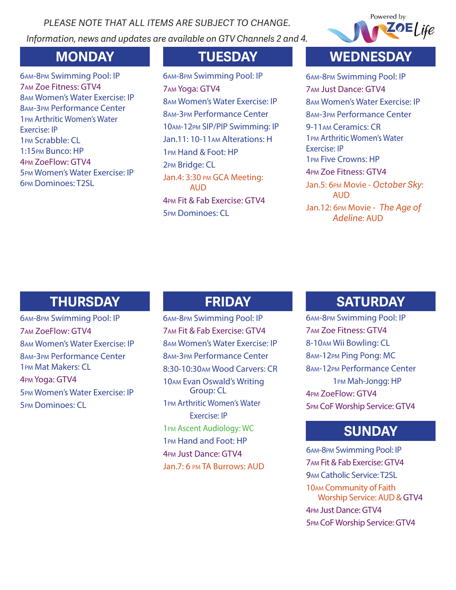*PLEASE NOTE THAT ALL ITEMS ARE SUBJECT TO CHANGE. Information, news and updates are available on GTV Channels 2 and 4.*



am-8pm Swimming Pool: IP am Zoe Fitness: GTV4 am Women's Water Exercise: IP am-3pm Performance Center pm Arthritic Women's Water Exercise: IP pm Scrabble: CL 1:15pm Bunco: HP pm ZoeFlow: GTV4 pm Women's Water Exercise: IP pm Dominoes: T2SL

am-8pm Swimming Pool: IP am Yoga: GTV4 am Women's Water Exercise: IP am-3pm Performance Center am-12pm SIP/PIP Swimming: IP Jan.11: 10-11am Alterations: H pm Hand & Foot: HP pm Bridge: CL Jan.4: 3:30 PM GCA Meeting: **AUD** pm Fit & Fab Exercise: GTV4 pm Dominoes: CL

## **MONDAY TUESDAY WEDNESDAY**

am-8pm Swimming Pool: IP am Just Dance: GTV4 am Women's Water Exercise: IP am-3pm Performance Center 9-11am Ceramics: CR pm Arthritic Women's Water Exercise: IP pm Five Crowns: HP pm Zoe Fitness: GTV4 Jan.5: 6pm Movie - *October Sky*: AUD Jan.12: 6pm Movie - *The Age of Adeline*: AUD

# **THURSDAY FRIDAY**

am-8pm Swimming Pool: IP am ZoeFlow: GTV4 am Women's Water Exercise: IP am-3pm Performance Center pm Mat Makers: CL pm Yoga: GTV4 pm Women's Water Exercise: IP pm Dominoes: CL

am-8pm Swimming Pool: IP am Fit & Fab Exercise: GTV4 am Women's Water Exercise: IP am-3pm Performance Center 8:30-10:30am Wood Carvers: CR am Evan Oswald's Writing Group: CL pm Arthritic Women's Water Exercise: IP pm Ascent Audiology: WC pm Hand and Foot: HP pm Just Dance: GTV4 Jan.7: 6 pm TA Burrows: AUD

## **SATURDAY**

am-8pm Swimming Pool: IP am Zoe Fitness: GTV4 8-10am Wii Bowling: CL am-12pm Ping Pong: MC am-12pm Performance Center pm Mah-Jongg: HP pm ZoeFlow: GTV4 pm CoF Worship Service: GTV4

## **SUNDAY**

am-8pm Swimming Pool: IP am Fit & Fab Exercise: GTV4 am Catholic Service: T2SL am Community of Faith Worship Service: AUD & GTV4 pm Just Dance: GTV4 pm CoF Worship Service: GTV4